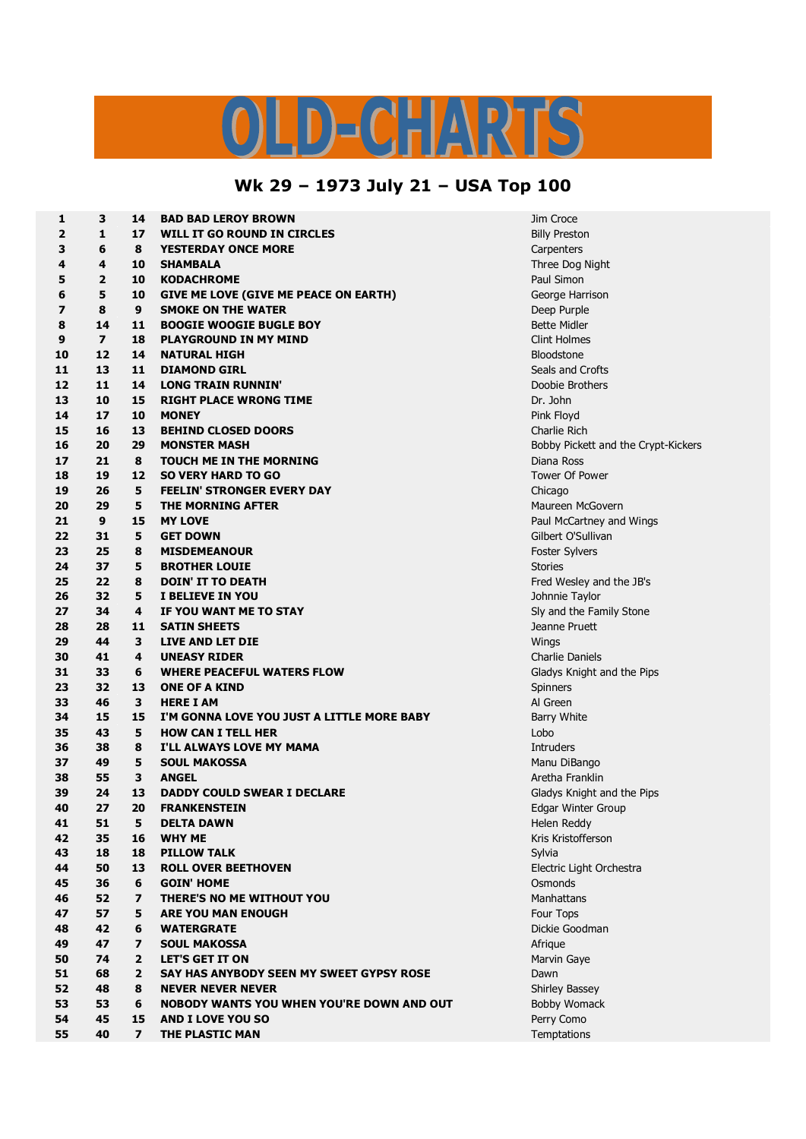## LD-CHARTS

## **Wk 29 – 1973 July 21 – USA Top 100**

| 1        | з              | 14                           | <b>BAD BAD LEROY BROWN</b>                    | Jim Croce                           |
|----------|----------------|------------------------------|-----------------------------------------------|-------------------------------------|
| 2        | 1              | 17                           | WILL IT GO ROUND IN CIRCLES                   | <b>Billy Preston</b>                |
| З        | 6              | 8                            | <b>YESTERDAY ONCE MORE</b>                    | Carpenters                          |
| 4        | 4              | 10                           | <b>SHAMBALA</b>                               | Three Dog Night                     |
| 5        | $\mathbf{2}$   | 10                           | <b>KODACHROME</b>                             | Paul Simon                          |
| 6        | 5              | 10                           | GIVE ME LOVE (GIVE ME PEACE ON EARTH)         | George Harrison                     |
| 7        | 8              | 9                            | <b>SMOKE ON THE WATER</b>                     | Deep Purple                         |
| 8        | 14             | 11                           | <b>BOOGIE WOOGIE BUGLE BOY</b>                | <b>Bette Midler</b>                 |
| 9        | $\overline{ }$ | 18                           | <b>PLAYGROUND IN MY MIND</b>                  | <b>Clint Holmes</b>                 |
| 10       | 12             | 14                           | <b>NATURAL HIGH</b>                           | <b>Bloodstone</b>                   |
| 11       | 13             | 11                           | <b>DIAMOND GIRL</b>                           | Seals and Crofts                    |
| 12       | 11             | 14                           | <b>LONG TRAIN RUNNIN'</b>                     | Doobie Brothers                     |
| 13       | 10             | 15                           | <b>RIGHT PLACE WRONG TIME</b>                 | Dr. John                            |
| 14       | 17             | 10                           | <b>MONEY</b>                                  | Pink Floyd                          |
| 15       | 16             | 13                           | <b>BEHIND CLOSED DOORS</b>                    | Charlie Rich                        |
| 16       | 20             | 29                           | <b>MONSTER MASH</b>                           | Bobby Pickett and the Crypt-Kickers |
| 17       | 21             | 8                            | <b>TOUCH ME IN THE MORNING</b>                | Diana Ross                          |
| 18       | 19             | 12                           | <b>SO VERY HARD TO GO</b>                     | <b>Tower Of Power</b>               |
| 19       | 26             | 5                            | <b>FEELIN' STRONGER EVERY DAY</b>             | Chicago                             |
| 20       | 29             | 5                            | THE MORNING AFTER                             | Maureen McGovern                    |
| 21       | 9              | 15                           | <b>MY LOVE</b>                                | Paul McCartney and Wings            |
| 22       | 31             | 5                            | <b>GET DOWN</b>                               | Gilbert O'Sullivan                  |
| 23       | 25             | 8                            | <b>MISDEMEANOUR</b>                           | Foster Sylvers                      |
| 24       | 37             | 5                            | <b>BROTHER LOUIE</b>                          | <b>Stories</b>                      |
| 25       | 22             | 8                            | <b>DOIN' IT TO DEATH</b>                      | Fred Wesley and the JB's            |
| 26       | 32             | 5                            | I BELIEVE IN YOU                              | Johnnie Taylor                      |
| 27       | 34             | 4                            | IF YOU WANT ME TO STAY                        | Sly and the Family Stone            |
| 28       | 28             | 11                           | <b>SATIN SHEETS</b>                           | Jeanne Pruett                       |
| 29       | 44             | 3                            | LIVE AND LET DIE                              | Wings                               |
| 30       | 41             | 4                            | <b>UNEASY RIDER</b>                           | Charlie Daniels                     |
| 31       | 33             | 6                            | <b>WHERE PEACEFUL WATERS FLOW</b>             | Gladys Knight and the Pips          |
| 23       | 32             | 13                           | <b>ONE OF A KIND</b>                          | Spinners                            |
| 33       | 46             | 3                            | <b>HERE I AM</b>                              | Al Green                            |
| 34       | 15             | 15                           | I'M GONNA LOVE YOU JUST A LITTLE MORE BABY    | <b>Barry White</b>                  |
| 35       | 43             | 5                            | <b>HOW CAN I TELL HER</b>                     | Lobo                                |
| 36       | 38             | 8                            | I'LL ALWAYS LOVE MY MAMA                      | <b>Intruders</b>                    |
| 37       | 49             | 5                            | <b>SOUL MAKOSSA</b>                           | Manu DiBango                        |
| 38       | 55             | 3                            | <b>ANGEL</b>                                  | Aretha Franklin                     |
| 39       | 24             | 13                           | <b>DADDY COULD SWEAR I DECLARE</b>            | Gladys Knight and the Pips          |
| 40       | 27             | 20                           | <b>FRANKENSTEIN</b>                           | Edgar Winter Group                  |
| 41       | 51             | 5                            | <b>DELTA DAWN</b>                             | Helen Reddy                         |
| 42       | 35             | 16                           | <b>WHY ME</b>                                 | Kris Kristofferson                  |
| 43       | 18             | 18                           | <b>PILLOW TALK</b>                            | Sylvia                              |
| 44       | 50             | 13                           | <b>ROLL OVER BEETHOVEN</b>                    | Electric Light Orchestra            |
| 45       | 36             | 6                            | <b>GOIN' HOME</b>                             | Osmonds                             |
| 46       | 52             | $\overline{\mathbf{z}}$      | THERE'S NO ME WITHOUT YOU                     | Manhattans                          |
| 47<br>48 | 57<br>42       | 5<br>6                       | <b>ARE YOU MAN ENOUGH</b>                     | Four Tops<br>Dickie Goodman         |
|          | 47             |                              | <b>WATERGRATE</b>                             |                                     |
| 49       | 74             | $\overline{\phantom{a}}$     | <b>SOUL MAKOSSA</b><br><b>LET'S GET IT ON</b> | Afrique<br>Marvin Gaye              |
| 50<br>51 | 68             | $\mathbf{2}$<br>$\mathbf{2}$ | SAY HAS ANYBODY SEEN MY SWEET GYPSY ROSE      | Dawn                                |
| 52       | 48             | 8                            | <b>NEVER NEVER NEVER</b>                      | Shirley Bassey                      |
| 53       | 53             | 6                            | NOBODY WANTS YOU WHEN YOU'RE DOWN AND OUT     | Bobby Womack                        |
| 54       | 45             | 15                           | <b>AND I LOVE YOU SO</b>                      | Perry Como                          |
| 55       | 40             | $\overline{ }$               | THE PLASTIC MAN                               | Temptations                         |
|          |                |                              |                                               |                                     |